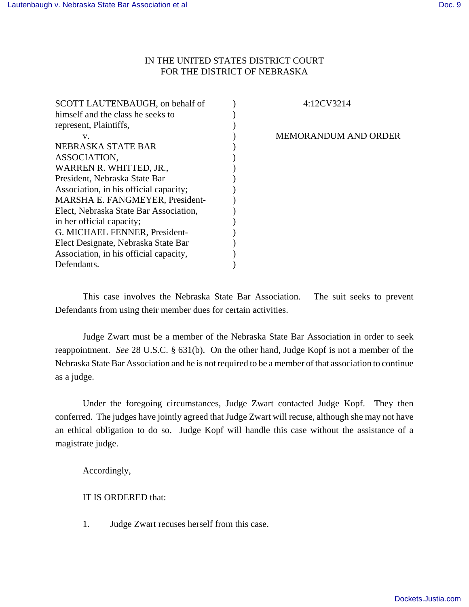## IN THE UNITED STATES DISTRICT COURT FOR THE DISTRICT OF NEBRASKA

| SCOTT LAUTENBAUGH, on behalf of        | 4:12CV3214                  |
|----------------------------------------|-----------------------------|
| himself and the class he seeks to      |                             |
| represent, Plaintiffs,                 |                             |
| V.                                     | <b>MEMORANDUM AND ORDER</b> |
| NEBRASKA STATE BAR                     |                             |
| ASSOCIATION,                           |                             |
| WARREN R. WHITTED, JR.,                |                             |
| President, Nebraska State Bar          |                             |
| Association, in his official capacity; |                             |
| MARSHA E. FANGMEYER, President-        |                             |
| Elect, Nebraska State Bar Association, |                             |
| in her official capacity;              |                             |
| G. MICHAEL FENNER, President-          |                             |
| Elect Designate, Nebraska State Bar    |                             |
| Association, in his official capacity, |                             |
| Defendants.                            |                             |

This case involves the Nebraska State Bar Association. The suit seeks to prevent Defendants from using their member dues for certain activities.

Judge Zwart must be a member of the Nebraska State Bar Association in order to seek reappointment. *See* 28 U.S.C. § 631(b). On the other hand, Judge Kopf is not a member of the Nebraska State Bar Association and he is not required to be a member of that association to continue as a judge.

Under the foregoing circumstances, Judge Zwart contacted Judge Kopf. They then conferred. The judges have jointly agreed that Judge Zwart will recuse, although she may not have an ethical obligation to do so. Judge Kopf will handle this case without the assistance of a magistrate judge.

Accordingly,

IT IS ORDERED that:

1. Judge Zwart recuses herself from this case.